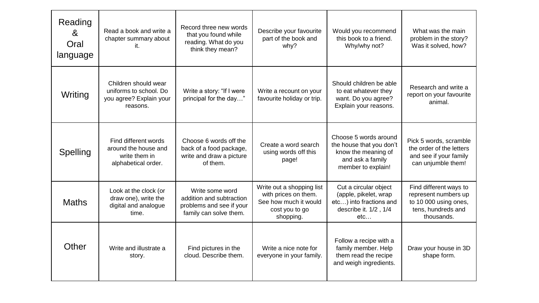| Reading<br>8 <sup>2</sup><br>Oral<br>language | Read a book and write a<br>chapter summary about<br>it.                               | Record three new words<br>that you found while<br>reading. What do you<br>think they mean?        | Describe your favourite<br>part of the book and<br>why?                                                   | Would you recommend<br>this book to a friend.<br>Why/why not?                                                      | What was the main<br>problem in the story?<br>Was it solved, how?                                           |
|-----------------------------------------------|---------------------------------------------------------------------------------------|---------------------------------------------------------------------------------------------------|-----------------------------------------------------------------------------------------------------------|--------------------------------------------------------------------------------------------------------------------|-------------------------------------------------------------------------------------------------------------|
| Writing                                       | Children should wear<br>uniforms to school. Do<br>you agree? Explain your<br>reasons. | Write a story: "If I were<br>principal for the day"                                               | Write a recount on your<br>favourite holiday or trip.                                                     | Should children be able<br>to eat whatever they<br>want. Do you agree?<br>Explain your reasons.                    | Research and write a<br>report on your favourite<br>animal.                                                 |
| Spelling                                      | Find different words<br>around the house and<br>write them in<br>alphabetical order.  | Choose 6 words off the<br>back of a food package,<br>write and draw a picture<br>of them.         | Create a word search<br>using words off this<br>page!                                                     | Choose 5 words around<br>the house that you don't<br>know the meaning of<br>and ask a family<br>member to explain! | Pick 5 words, scramble<br>the order of the letters<br>and see if your family<br>can unjumble them!          |
| <b>Maths</b>                                  | Look at the clock (or<br>draw one), write the<br>digital and analogue<br>time.        | Write some word<br>addition and subtraction<br>problems and see if your<br>family can solve them. | Write out a shopping list<br>with prices on them.<br>See how much it would<br>cost you to go<br>shopping. | Cut a circular object<br>(apple, pikelet, wrap<br>etc) into fractions and<br>describe it. 1/2, 1/4<br>etc          | Find different ways to<br>represent numbers up<br>to 10 000 using ones,<br>tens, hundreds and<br>thousands. |
| Other                                         | Write and illustrate a<br>story.                                                      | Find pictures in the<br>cloud. Describe them.                                                     | Write a nice note for<br>everyone in your family.                                                         | Follow a recipe with a<br>family member. Help<br>them read the recipe<br>and weigh ingredients.                    | Draw your house in 3D<br>shape form.                                                                        |